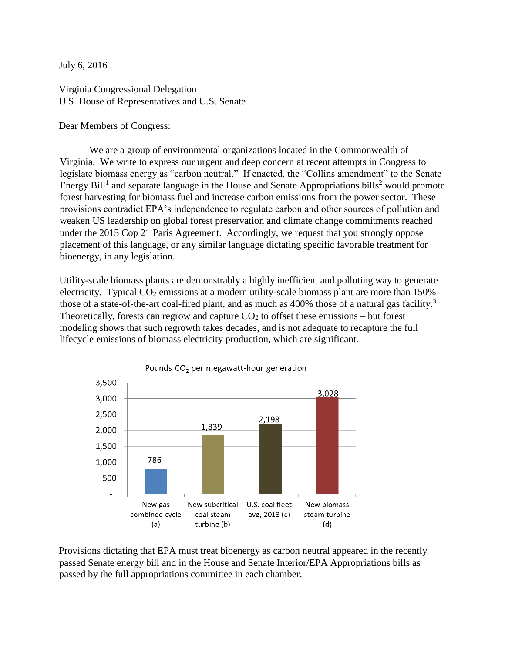July 6, 2016

Virginia Congressional Delegation U.S. House of Representatives and U.S. Senate

Dear Members of Congress:

We are a group of environmental organizations located in the Commonwealth of Virginia. We write to express our urgent and deep concern at recent attempts in Congress to legislate biomass energy as "carbon neutral." If enacted, the "Collins amendment" to the Senate Energy Bill<sup>1</sup> and separate language in the House and Senate Appropriations bills<sup>2</sup> would promote forest harvesting for biomass fuel and increase carbon emissions from the power sector. These provisions contradict EPA's independence to regulate carbon and other sources of pollution and weaken US leadership on global forest preservation and climate change commitments reached under the 2015 Cop 21 Paris Agreement. Accordingly, we request that you strongly oppose placement of this language, or any similar language dictating specific favorable treatment for bioenergy, in any legislation.

Utility-scale biomass plants are demonstrably a highly inefficient and polluting way to generate electricity. Typical  $CO<sub>2</sub>$  emissions at a modern utility-scale biomass plant are more than 150% those of a state-of-the-art coal-fired plant, and as much as 400% those of a natural gas facility.<sup>3</sup> Theoretically, forests can regrow and capture  $CO<sub>2</sub>$  to offset these emissions – but forest modeling shows that such regrowth takes decades, and is not adequate to recapture the full lifecycle emissions of biomass electricity production, which are significant.



Provisions dictating that EPA must treat bioenergy as carbon neutral appeared in the recently passed Senate energy bill and in the House and Senate Interior/EPA Appropriations bills as passed by the full appropriations committee in each chamber.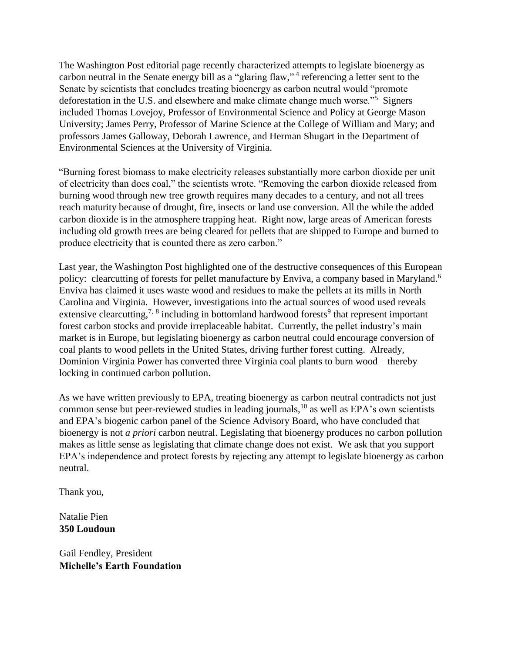The Washington Post editorial page recently characterized attempts to legislate bioenergy as carbon neutral in the Senate energy bill as a "glaring flaw,"<sup>4</sup> referencing a letter sent to the Senate by scientists that concludes treating bioenergy as carbon neutral would "promote deforestation in the U.S. and elsewhere and make climate change much worse."<sup>5</sup> Signers included Thomas Lovejoy, Professor of Environmental Science and Policy at George Mason University; James Perry, Professor of Marine Science at the College of William and Mary; and professors James Galloway, Deborah Lawrence, and Herman Shugart in the Department of Environmental Sciences at the University of Virginia.

"Burning forest biomass to make electricity releases substantially more carbon dioxide per unit of electricity than does coal," the scientists wrote. "Removing the carbon dioxide released from burning wood through new tree growth requires many decades to a century, and not all trees reach maturity because of drought, fire, insects or land use conversion. All the while the added carbon dioxide is in the atmosphere trapping heat. Right now, large areas of American forests including old growth trees are being cleared for pellets that are shipped to Europe and burned to produce electricity that is counted there as zero carbon."

Last year, the Washington Post highlighted one of the destructive consequences of this European policy: clearcutting of forests for pellet manufacture by Enviva, a company based in Maryland.<sup>6</sup> Enviva has claimed it uses waste wood and residues to make the pellets at its mills in North Carolina and Virginia. However, investigations into the actual sources of wood used reveals extensive clearcutting,<sup>7, 8</sup> including in bottomland hardwood forests<sup>9</sup> that represent important forest carbon stocks and provide irreplaceable habitat. Currently, the pellet industry's main market is in Europe, but legislating bioenergy as carbon neutral could encourage conversion of coal plants to wood pellets in the United States, driving further forest cutting. Already, Dominion Virginia Power has converted three Virginia coal plants to burn wood – thereby locking in continued carbon pollution.

As we have written previously to EPA, treating bioenergy as carbon neutral contradicts not just common sense but peer-reviewed studies in leading journals, $^{10}$  as well as EPA's own scientists and EPA's biogenic carbon panel of the Science Advisory Board, who have concluded that bioenergy is not *a priori* carbon neutral. Legislating that bioenergy produces no carbon pollution makes as little sense as legislating that climate change does not exist. We ask that you support EPA's independence and protect forests by rejecting any attempt to legislate bioenergy as carbon neutral.

Thank you,

Natalie Pien **350 Loudoun**

Gail Fendley, President **Michelle's Earth Foundation**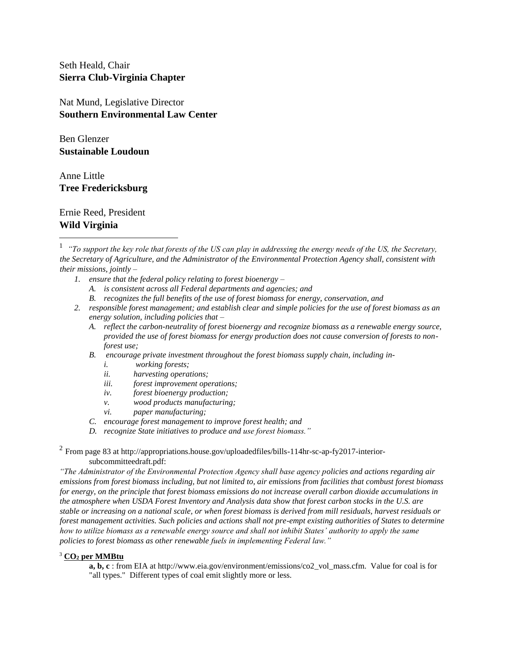Seth Heald, Chair **Sierra Club-Virginia Chapter**

Nat Mund, Legislative Director **Southern Environmental Law Center**

Ben Glenzer **Sustainable Loudoun**

Anne Little **Tree Fredericksburg**

Ernie Reed, President **Wild Virginia**

 $\overline{a}$ 

- *1. ensure that the federal policy relating to forest bioenergy –*
	- *A. is consistent across all Federal departments and agencies; and*
	- *B. recognizes the full benefits of the use of forest biomass for energy, conservation, and*
- *2. responsible forest management; and establish clear and simple policies for the use of forest biomass as an energy solution, including policies that –*
	- *A. reflect the carbon-neutrality of forest bioenergy and recognize biomass as a renewable energy source, provided the use of forest biomass for energy production does not cause conversion of forests to nonforest use;*
	- *B. encourage private investment throughout the forest biomass supply chain, including in*
		- *i. working forests;*
		- *ii. harvesting operations;*
		- *iii. forest improvement operations;*
		- *iv. forest bioenergy production;*
		- *v. wood products manufacturing;*
		- *vi. paper manufacturing;*
	- *C. encourage forest management to improve forest health; and*
	- *D. recognize State initiatives to produce and use forest biomass."*

<sup>2</sup> From page 83 at http://appropriations.house.gov/uploadedfiles/bills-114hr-sc-ap-fy2017-interiorsubcommitteedraft.pdf:

*"The Administrator of the Environmental Protection Agency shall base agency policies and actions regarding air emissions from forest biomass including, but not limited to, air emissions from facilities that combust forest biomass for energy, on the principle that forest biomass emissions do not increase overall carbon dioxide accumulations in the atmosphere when USDA Forest Inventory and Analysis data show that forest carbon stocks in the U.S. are stable or increasing on a national scale, or when forest biomass is derived from mill residuals, harvest residuals or forest management activities. Such policies and actions shall not pre-empt existing authorities of States to determine how to utilize biomass as a renewable energy source and shall not inhibit States' authority to apply the same policies to forest biomass as other renewable fuels in implementing Federal law."*

## <sup>3</sup> **CO<sup>2</sup> per MMBtu**

**a, b, c** : from EIA at http://www.eia.gov/environment/emissions/co2\_vol\_mass.cfm. Value for coal is for "all types." Different types of coal emit slightly more or less.

<sup>&</sup>lt;sup>1</sup> "To support the key role that forests of the US can play in addressing the energy needs of the US, the Secretary, *the Secretary of Agriculture, and the Administrator of the Environmental Protection Agency shall, consistent with their missions, jointly –*